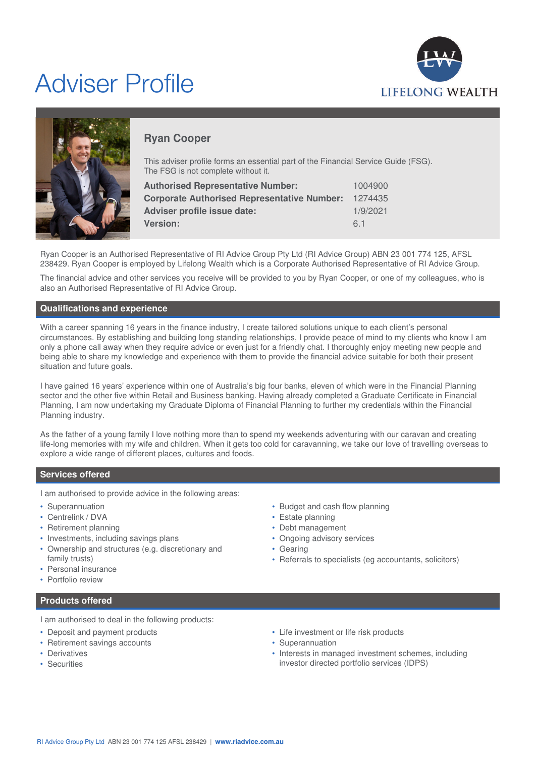# Adviser Profile





## **Ryan Cooper**

This adviser profile forms an essential part of the Financial Service Guide (FSG). The FSG is not complete without it.

| <b>Authorised Representative Number:</b>           | 1004900  |
|----------------------------------------------------|----------|
| <b>Corporate Authorised Representative Number:</b> | 1274435  |
| Adviser profile issue date:                        | 1/9/2021 |
| <b>Version:</b>                                    | 61       |

Ryan Cooper is an Authorised Representative of RI Advice Group Pty Ltd (RI Advice Group) ABN 23 001 774 125, AFSL 238429. Ryan Cooper is employed by Lifelong Wealth which is a Corporate Authorised Representative of RI Advice Group.

The financial advice and other services you receive will be provided to you by Ryan Cooper, or one of my colleagues, who is also an Authorised Representative of RI Advice Group.

## **Qualifications and experience**

With a career spanning 16 years in the finance industry, I create tailored solutions unique to each client's personal circumstances. By establishing and building long standing relationships, I provide peace of mind to my clients who know I am only a phone call away when they require advice or even just for a friendly chat. I thoroughly enjoy meeting new people and being able to share my knowledge and experience with them to provide the financial advice suitable for both their present situation and future goals.

I have gained 16 years' experience within one of Australia's big four banks, eleven of which were in the Financial Planning sector and the other five within Retail and Business banking. Having already completed a Graduate Certificate in Financial Planning, I am now undertaking my Graduate Diploma of Financial Planning to further my credentials within the Financial Planning industry.

As the father of a young family I love nothing more than to spend my weekends adventuring with our caravan and creating life-long memories with my wife and children. When it gets too cold for caravanning, we take our love of travelling overseas to explore a wide range of different places, cultures and foods.

## **Services offered**

I am authorised to provide advice in the following areas:

- Superannuation
- Centrelink / DVA
- Retirement planning
- Investments, including savings plans
- Ownership and structures (e.g. discretionary and family trusts)
- Personal insurance
- Portfolio review

## • Budget and cash flow planning • Estate planning

- Debt management
- Ongoing advisory services
- Gearing
- Referrals to specialists (eg accountants, solicitors)

**Products offered**

I am authorised to deal in the following products:

- Deposit and payment products
- Retirement savings accounts
- Derivatives
- Securities
- Life investment or life risk products
- Superannuation
- Interests in managed investment schemes, including investor directed portfolio services (IDPS)